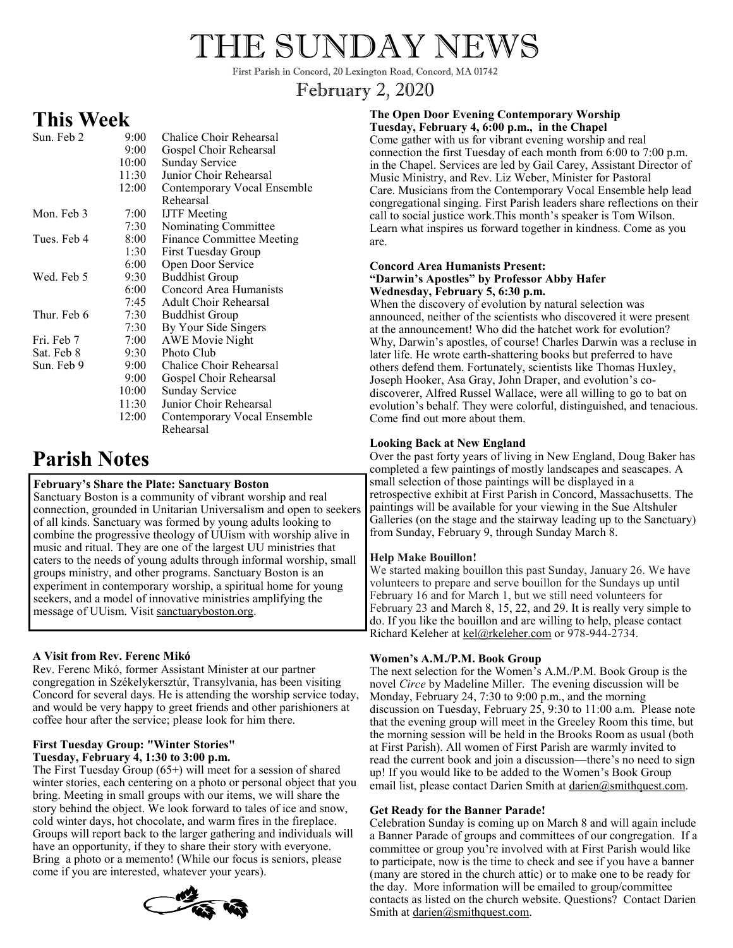# THE SUNDAY NEWS

First Parish in Concord, 20 Lexington Road, Concord, MA 01742

# February 2, 2020

# **This Week**

| Sun. Feb 2  | $9:00^{-}$ | Chalice Choir Rehearsal      |
|-------------|------------|------------------------------|
|             | 9:00       | Gospel Choir Rehearsal       |
|             | 10:00      | <b>Sunday Service</b>        |
|             | 11:30      | Junior Choir Rehearsal       |
|             | 12:00      | Contemporary Vocal Ensemble  |
|             |            | Rehearsal                    |
| Mon. Feb 3  | 7:00       | <b>IJTF</b> Meeting          |
|             | 7:30       | Nominating Committee         |
| Tues. Feb 4 | 8:00       | Finance Committee Meeting    |
|             | 1:30       | First Tuesday Group          |
|             | 6:00       | Open Door Service            |
| Wed. Feb 5  | 9:30       | <b>Buddhist Group</b>        |
|             | 6:00       | Concord Area Humanists       |
|             | 7:45       | <b>Adult Choir Rehearsal</b> |
| Thur. Feb 6 | 7:30       | <b>Buddhist Group</b>        |
|             | 7:30       | By Your Side Singers         |
| Fri. Feb 7  | 7:00       | <b>AWE Movie Night</b>       |
| Sat. Feb 8  | 9:30       | Photo Club                   |
| Sun. Feb 9  | 9:00       | Chalice Choir Rehearsal      |
|             | $9:00^{-}$ | Gospel Choir Rehearsal       |
|             | 10:00      | <b>Sunday Service</b>        |
|             | 11:30      | Junior Choir Rehearsal       |
|             | 12:00      | Contemporary Vocal Ensemble  |
|             |            | Rehearsal                    |

# **Parish Notes**

# **February's Share the Plate: Sanctuary Boston**

Sanctuary Boston is a community of vibrant worship and real connection, grounded in Unitarian Universalism and open to seekers of all kinds. Sanctuary was formed by young adults looking to combine the progressive theology of UUism with worship alive in music and ritual. They are one of the largest UU ministries that caters to the needs of young adults through informal worship, small groups ministry, and other programs. Sanctuary Boston is an experiment in contemporary worship, a spiritual home for young seekers, and a model of innovative ministries amplifying the message of UUism. Visit sanctuaryboston.org.

# **A Visit from Rev. Ferenc Mikó**

Rev. Ferenc Mikó, former Assistant Minister at our partner congregation in Székelykersztúr, Transylvania, has been visiting Concord for several days. He is attending the worship service today, and would be very happy to greet friends and other parishioners at coffee hour after the service; please look for him there.

#### **First Tuesday Group: "Winter Stories" Tuesday, February 4, 1:30 to 3:00 p.m.**

The First Tuesday Group (65+) will meet for a session of shared winter stories, each centering on a photo or personal object that you bring. Meeting in small groups with our items, we will share the story behind the object. We look forward to tales of ice and snow, cold winter days, hot chocolate, and warm fires in the fireplace. Groups will report back to the larger gathering and individuals will have an opportunity, if they to share their story with everyone. Bring a photo or a memento! (While our focus is seniors, please come if you are interested, whatever your years).



#### **The Open Door Evening Contemporary Worship Tuesday, February 4, 6:00 p.m., in the Chapel**

Come gather with us for vibrant evening worship and real connection the first Tuesday of each month from 6:00 to 7:00 p.m. in the Chapel. Services are led by Gail Carey, Assistant Director of Music Ministry, and Rev. Liz Weber, Minister for Pastoral Care. Musicians from the Contemporary Vocal Ensemble help lead congregational singing. First Parish leaders share reflections on their call to social justice work.This month's speaker is Tom Wilson. Learn what inspires us forward together in kindness. Come as you are.

#### **Concord Area Humanists Present: "Darwin's Apostles" by Professor Abby Hafer Wednesday, February 5, 6:30 p.m.**

When the discovery of evolution by natural selection was announced, neither of the scientists who discovered it were present at the announcement! Who did the hatchet work for evolution? Why, Darwin's apostles, of course! Charles Darwin was a recluse in later life. He wrote earth-shattering books but preferred to have others defend them. Fortunately, scientists like Thomas Huxley, Joseph Hooker, Asa Gray, John Draper, and evolution's codiscoverer, Alfred Russel Wallace, were all willing to go to bat on evolution's behalf. They were colorful, distinguished, and tenacious. Come find out more about them.

### **Looking Back at New England**

Over the past forty years of living in New England, Doug Baker has completed a few paintings of mostly landscapes and seascapes. A small selection of those paintings will be displayed in a retrospective exhibit at First Parish in Concord, Massachusetts. The paintings will be available for your viewing in the Sue Altshuler Galleries (on the stage and the stairway leading up to the Sanctuary) from Sunday, February 9, through Sunday March 8.

#### **Help Make Bouillon!**

We started making bouillon this past Sunday, January 26. We have volunteers to prepare and serve bouillon for the Sundays up until February 16 and for March 1, but we still need volunteers for February 23 and March 8, 15, 22, and 29. It is really very simple to do. If you like the bouillon and are willing to help, please contact Richard Keleher at [kel@rkeleher.com](mailto:kel@rkeleher.com) or 978-944-2734.

#### **Women's A.M./P.M. Book Group**

The next selection for the Women's A.M./P.M. Book Group is the novel *Circe* by Madeline Miller. The evening discussion will be Monday, February 24, 7:30 to 9:00 p.m., and the morning discussion on Tuesday, February 25, 9:30 to 11:00 a.m. Please note that the evening group will meet in the Greeley Room this time, but the morning session will be held in the Brooks Room as usual (both at First Parish). All women of First Parish are warmly invited to read the current book and join a discussion—there's no need to sign up! If you would like to be added to the Women's Book Group email list, please contact Darien Smith at darien@smithquest.com.

#### **Get Ready for the Banner Parade!**

Celebration Sunday is coming up on March 8 and will again include a Banner Parade of groups and committees of our congregation. If a committee or group you're involved with at First Parish would like to participate, now is the time to check and see if you have a banner (many are stored in the church attic) or to make one to be ready for the day. More information will be emailed to group/committee contacts as listed on the church website. Questions? Contact Darien Smith at darien@smithquest.com.